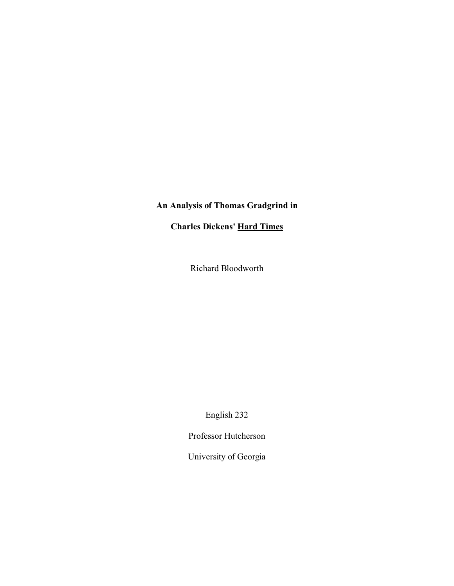## **An Analysis of Thomas Gradgrind in**

**Charles Dickens' Hard Times**

Richard Bloodworth

English 232

Professor Hutcherson

University of Georgia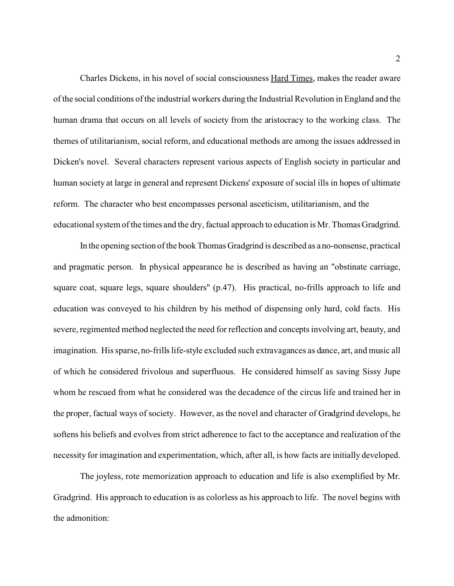Charles Dickens, in his novel of social consciousness Hard Times, makes the reader aware of the social conditions of the industrial workers during the Industrial Revolution in England and the human drama that occurs on all levels of society from the aristocracy to the working class. The themes of utilitarianism, social reform, and educational methods are among the issues addressed in Dicken's novel. Several characters represent various aspects of English society in particular and human society at large in general and represent Dickens' exposure of social ills in hopes of ultimate reform. The character who best encompasses personal asceticism, utilitarianism, and the educational system of the times and the dry, factual approach to education is Mr. Thomas Gradgrind.

In the opening section of the book Thomas Gradgrind is described as a no-nonsense, practical and pragmatic person. In physical appearance he is described as having an "obstinate carriage, square coat, square legs, square shoulders" (p.47). His practical, no-frills approach to life and education was conveyed to his children by his method of dispensing only hard, cold facts. His severe, regimented method neglected the need for reflection and concepts involving art, beauty, and imagination. His sparse, no-frills life-style excluded such extravagances as dance, art, and music all of which he considered frivolous and superfluous. He considered himself as saving Sissy Jupe whom he rescued from what he considered was the decadence of the circus life and trained her in the proper, factual ways of society. However, as the novel and character of Gradgrind develops, he softens his beliefs and evolves from strict adherence to fact to the acceptance and realization of the necessity for imagination and experimentation, which, after all, is how facts are initially developed.

The joyless, rote memorization approach to education and life is also exemplified by Mr. Gradgrind. His approach to education is as colorless as his approach to life. The novel begins with the admonition: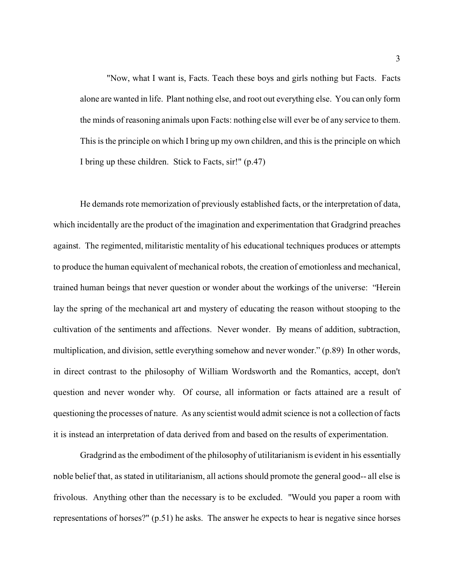"Now, what I want is, Facts. Teach these boys and girls nothing but Facts. Facts alone are wanted in life. Plant nothing else, and root out everything else. You can only form the minds of reasoning animals upon Facts: nothing else will ever be of any service to them. This is the principle on which I bring up my own children, and this is the principle on which I bring up these children. Stick to Facts, sir!" (p.47)

He demands rote memorization of previously established facts, or the interpretation of data, which incidentally are the product of the imagination and experimentation that Gradgrind preaches against. The regimented, militaristic mentality of his educational techniques produces or attempts to produce the human equivalent of mechanical robots, the creation of emotionless and mechanical, trained human beings that never question or wonder about the workings of the universe: "Herein lay the spring of the mechanical art and mystery of educating the reason without stooping to the cultivation of the sentiments and affections. Never wonder. By means of addition, subtraction, multiplication, and division, settle everything somehow and never wonder." (p.89) In other words, in direct contrast to the philosophy of William Wordsworth and the Romantics, accept, don't question and never wonder why. Of course, all information or facts attained are a result of questioning the processes of nature. As any scientist would admit science is not a collection of facts it is instead an interpretation of data derived from and based on the results of experimentation.

Gradgrind as the embodiment of the philosophy of utilitarianism is evident in his essentially noble belief that, as stated in utilitarianism, all actions should promote the general good-- all else is frivolous. Anything other than the necessary is to be excluded. "Would you paper a room with representations of horses?" (p.51) he asks. The answer he expects to hear is negative since horses